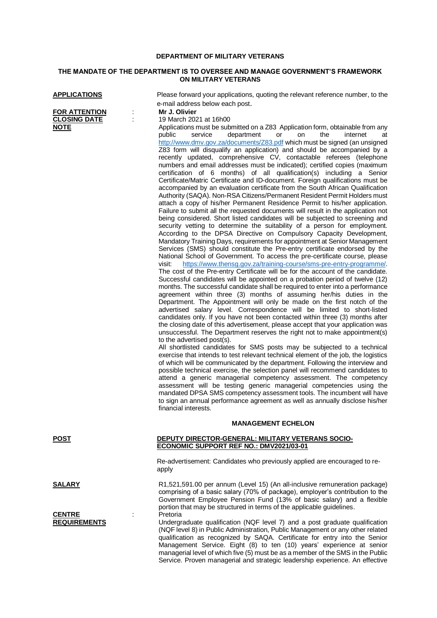### **DEPARTMENT OF MILITARY VETERANS**

## **THE MANDATE OF THE DEPARTMENT IS TO OVERSEE AND MANAGE GOVERNMENT'S FRAMEWORK ON MILITARY VETERANS**

| <b>FOR ATTENTION</b> |  |
|----------------------|--|
| <b>CLOSING DATE</b>  |  |
| <b>NOTE</b>          |  |

**APPLICATIONS** Please forward your applications, quoting the relevant reference number, to the e-mail address below each post.

#### **FOR ATTENTION** : **Mr J. Olivier**

**CLOSING DATE** : 19 March 2021 at 16h00 Applications must be submitted on a Z83 Application form, obtainable from any<br>
public service department or on the internet at service department or on the internet at <http://www.dmv.gov.za/documents/Z83.pdf> which must be signed (an unsigned Z83 form will disqualify an application) and should be accompanied by a recently updated, comprehensive CV, contactable referees (telephone numbers and email addresses must be indicated); certified copies (maximum certification of 6 months) of all qualification(s) including a Senior Certificate/Matric Certificate and ID-document. Foreign qualifications must be accompanied by an evaluation certificate from the South African Qualification Authority (SAQA). Non-RSA Citizens/Permanent Resident Permit Holders must attach a copy of his/her Permanent Residence Permit to his/her application. Failure to submit all the requested documents will result in the application not being considered. Short listed candidates will be subjected to screening and security vetting to determine the suitability of a person for employment. According to the DPSA Directive on Compulsory Capacity Development, Mandatory Training Days, requirements for appointment at Senior Management Services (SMS) should constitute the Pre-entry certificate endorsed by the National School of Government. To access the pre-certificate course, please visit: [https://www.thensg.gov.za/training-course/sms-pre-entry-programme/.](https://www.thensg.gov.za/training-course/sms-pre-entry-programme/)  The cost of the Pre-entry Certificate will be for the account of the candidate. Successful candidates will be appointed on a probation period of twelve (12) months. The successful candidate shall be required to enter into a performance agreement within three (3) months of assuming her/his duties in the Department. The Appointment will only be made on the first notch of the advertised salary level. Correspondence will be limited to short-listed candidates only. If you have not been contacted within three (3) months after the closing date of this advertisement, please accept that your application was unsuccessful. The Department reserves the right not to make appointment(s) to the advertised post(s).

> All shortlisted candidates for SMS posts may be subjected to a technical exercise that intends to test relevant technical element of the job, the logistics of which will be communicated by the department. Following the interview and possible technical exercise, the selection panel will recommend candidates to attend a generic managerial competency assessment. The competency assessment will be testing generic managerial competencies using the mandated DPSA SMS competency assessment tools. The incumbent will have to sign an annual performance agreement as well as annually disclose his/her financial interests.

#### **MANAGEMENT ECHELON**

# **POST DEPUTY DIRECTOR-GENERAL: MILITARY VETERANS SOCIO-**

**ECONOMIC SUPPORT REF NO.: DMV2021/03-01**

Re-advertisement: Candidates who previously applied are encouraged to reapply

**SALARY** R1,521,591.00 per annum (Level 15) (An all-inclusive remuneration package) comprising of a basic salary (70% of package), employer's contribution to the Government Employee Pension Fund (13% of basic salary) and a flexible portion that may be structured in terms of the applicable guidelines.

> Undergraduate qualification (NQF level 7) and a post graduate qualification (NQF level 8) in Public Administration, Public Management or any other related qualification as recognized by SAQA. Certificate for entry into the Senior Management Service. Eight (8) to ten (10) years' experience at senior managerial level of which five (5) must be as a member of the SMS in the Public Service. Proven managerial and strategic leadership experience. An effective

**CENTRE** : Pretoria<br> **REQUIREMENTS** : Underar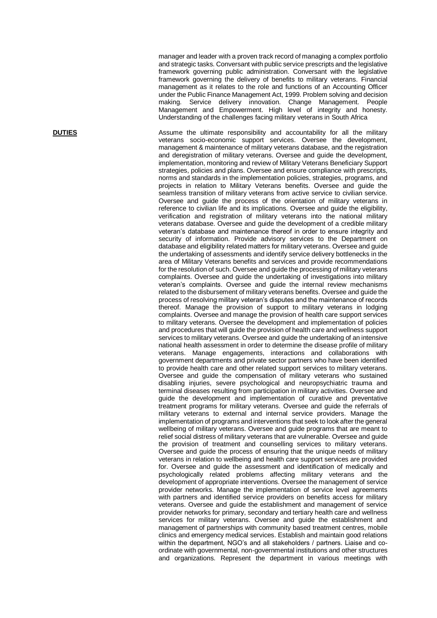manager and leader with a proven track record of managing a complex portfolio and strategic tasks. Conversant with public service prescripts and the legislative framework governing public administration. Conversant with the legislative framework governing the delivery of benefits to military veterans. Financial management as it relates to the role and functions of an Accounting Officer under the Public Finance Management Act, 1999. Problem solving and decision making. Service delivery innovation. Change Management. People Management and Empowerment. High level of integrity and honesty. Understanding of the challenges facing military veterans in South Africa

**DUTIES** Assume the ultimate responsibility and accountability for all the military veterans socio -economic support services. Oversee the development, management & maintenance of military veterans database, and the registration and deregistration of military veterans. Oversee and guide the development, implementation, monitoring and review of Military Veterans Beneficiary Support strategies, policies and plans. Oversee and ensure compliance with prescripts, norms and standards in the implementation policies, strategies, programs, and projects in relation to Military Veterans benefits. Oversee and guide the seamless transition of military veterans from active service to civilian service. Oversee and guide the process of the orientation of military veterans in reference to civilian life and its implications. Oversee and guide the eligibility , verification and registration of military veterans into the national military veterans database . Oversee and guide the development of a credible military veteran's database and maintenance thereof in order to ensure integrity and security of information. Provide advisory services to the Department on database and eligibility related matters for military veterans. Oversee and guide the undertaking of assessments and identify service delivery bottlenecks in the area of Military Veterans benefits and services and provide recommendations for the resolution of such. Oversee and guide the processing of military veterans complaints. Oversee and guide the undertaking of investigations into military veteran's complaints. Oversee and guide the internal review mechanisms related to the disbursement of military veterans benefits . Oversee and guide the process of resolving military veteran's disputes and the maintenance of records thereof. Manage the provision of support to military veterans in lodging complaints. Oversee and manage the provision of health care support services to military veterans. Oversee the development and implementation of policies and procedures that will guide the provision of health care and wellness support services to military veterans. Oversee and guide the undertaking of an intensive national health assessment in order to determine the disease profile of military veterans. Manage engagements, interactions and collaborations with government departments and private sector partners who have been identified to provide health care and other related support services to military veterans. Oversee and guide the compensation of military veterans who sustained disabling injuries, severe psychological and neuropsychiatric trauma and terminal diseases resulting from participation in military activities. Oversee and guide the development and implementation of curative and preventative treatment programs for military veterans. Oversee and guide the referrals of military veterans to external and internal service providers. Manage the implementation of programs and interventions that seek to look after the general wellbeing of military veterans. Oversee and guide programs that are meant to relief social distress of military veterans that are vulnerable. Oversee and guide the provision of treatment and counselling services to military veterans. Oversee and guide the process of ensuring that the unique needs of military veterans in relation to wellbeing and health care support services are provided for. Oversee and guide the assessment and identification of medically and psychologically related problems affecting military veterans and the development of appropriate interventions. Oversee the management of service provider networks. Manage the implementation of service level agreements with partners and identified service providers on benefits access for military veterans. Oversee and guide the establishment and management of service provider networks for primary, secondary and tertiary health care and wellness services for military veterans. Oversee and guide the establishment and management of partnerships with community based treatment centres, mobile clinics and emergency medical services. Establish and maintain good relations within the department, NGO's and all stakeholders / partners. Liaise and co ordinate with governmental, non -governmental institutions and other structures and organizations. Represent the department in various meetings with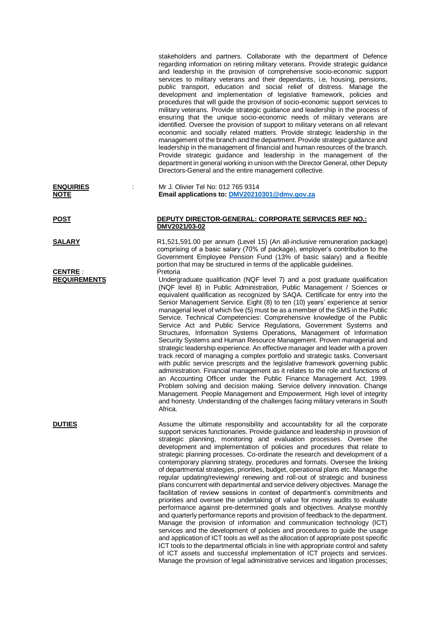stakeholders and partners. Collaborate with the department of Defence regarding information on retiring military veterans. Provide strategic guidance and leadership in the provision of comprehensive socio-economic support services to military veterans and their dependants, i.e, housing, pensions, public transport, education and social relief of distress. Manage the development and implementation of legislative framework, policies and procedures that will guide the provision of socio-economic support services to military veterans. Provide strategic guidance and leadership in the process of ensuring that the unique socio-economic needs of military veterans are identified. Oversee the provision of support to military veterans on all relevant economic and socially related matters. Provide strategic leadership in the management of the branch and the department. Provide strategic guidance and leadership in the management of financial and human resources of the branch. Provide strategic guidance and leadership in the management of the department in general working in unison with the Director General, other Deputy Directors-General and the entire management collective.

## **ENQUIRIES** : Mr J. Olivier Tel No: 012 765 9314 **NOTE Email applications to: [DMV20210301@dmv.gov.za](mailto:DMV20210301@dmv.gov.za)**

## **POST DEPUTY DIRECTOR-GENERAL: CORPORATE SERVICES REF NO.: DMV2021/03-02**

**SALARY** R1,521,591.00 per annum (Level 15) (An all-inclusive remuneration package) comprising of a basic salary (70% of package), employer's contribution to the Government Employee Pension Fund (13% of basic salary) and a flexible portion that may be structured in terms of the applicable guidelines.

**REQUIREMENTS** Undergraduate qualification (NQF level 7) and a post graduate qualification (NQF level 8) in Public Administration, Public Management / Sciences or equivalent qualification as recognized by SAQA. Certificate for entry into the Senior Management Service. Eight (8) to ten (10) years' experience at senior managerial level of which five (5) must be as a member of the SMS in the Public Service. Technical Competencies: Comprehensive knowledge of the Public Service Act and Public Service Regulations, Government Systems and Structures, Information Systems Operations, Management of Information Security Systems and Human Resource Management. Proven managerial and strategic leadership experience. An effective manager and leader with a proven track record of managing a complex portfolio and strategic tasks. Conversant with public service prescripts and the legislative framework governing public administration. Financial management as it relates to the role and functions of an Accounting Officer under the Public Finance Management Act, 1999. Problem solving and decision making. Service delivery innovation. Change Management. People Management and Empowerment. High level of integrity and honesty. Understanding of the challenges facing military veterans in South Africa.

**DUTIES** Assume the ultimate responsibility and accountability for all the corporate support services functionaries. Provide guidance and leadership in provision of strategic planning, monitoring and evaluation processes. Oversee the development and implementation of policies and procedures that relate to strategic planning processes. Co-ordinate the research and development of a contemporary planning strategy, procedures and formats. Oversee the linking of departmental strategies, priorities, budget, operational plans etc. Manage the regular updating/reviewing/ renewing and roll-out of strategic and business plans concurrent with departmental and service delivery objectives. Manage the facilitation of review sessions in context of department's commitments and priorities and oversee the undertaking of value for money audits to evaluate performance against pre-determined goals and objectives. Analyse monthly and quarterly performance reports and provision of feedback to the department. Manage the provision of information and communication technology (ICT) services and the development of policies and procedures to guide the usage and application of ICT tools as well as the allocation of appropriate post specific ICT tools to the departmental officials in line with appropriate control and safety of ICT assets and successful implementation of ICT projects and services. Manage the provision of legal administrative services and litigation processes:

**CENTRE** : Pretoria